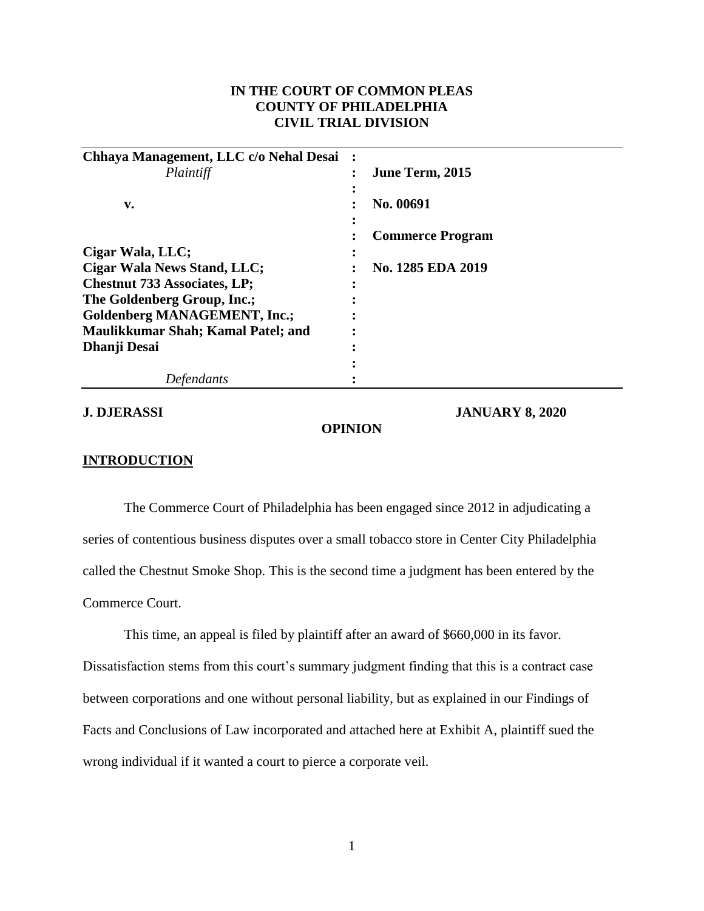# **IN THE COURT OF COMMON PLEAS COUNTY OF PHILADELPHIA CIVIL TRIAL DIVISION**

| Chhaya Management, LLC c/o Nehal Desai |                         |
|----------------------------------------|-------------------------|
| Plaintiff                              | June Term, 2015         |
|                                        |                         |
| v.                                     | No. 00691               |
|                                        |                         |
|                                        | <b>Commerce Program</b> |
| Cigar Wala, LLC;                       |                         |
| Cigar Wala News Stand, LLC;            | No. 1285 EDA 2019       |
| <b>Chestnut 733 Associates, LP;</b>    |                         |
| The Goldenberg Group, Inc.;            |                         |
| <b>Goldenberg MANAGEMENT, Inc.;</b>    |                         |
| Maulikkumar Shah; Kamal Patel; and     |                         |
| Dhanji Desai                           |                         |
|                                        |                         |
| tendants                               |                         |

**J. DJERASSI JANUARY 8, 2020**

#### **OPINION**

### **INTRODUCTION**

The Commerce Court of Philadelphia has been engaged since 2012 in adjudicating a series of contentious business disputes over a small tobacco store in Center City Philadelphia called the Chestnut Smoke Shop. This is the second time a judgment has been entered by the Commerce Court.

This time, an appeal is filed by plaintiff after an award of \$660,000 in its favor. Dissatisfaction stems from this court's summary judgment finding that this is a contract case between corporations and one without personal liability, but as explained in our Findings of Facts and Conclusions of Law incorporated and attached here at Exhibit A, plaintiff sued the wrong individual if it wanted a court to pierce a corporate veil.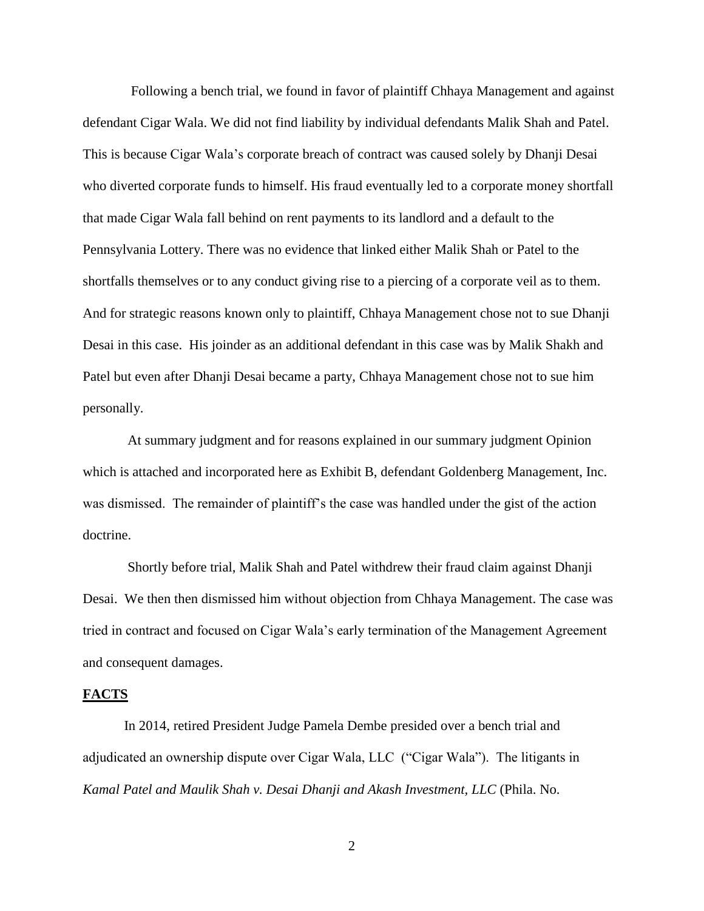Following a bench trial, we found in favor of plaintiff Chhaya Management and against defendant Cigar Wala. We did not find liability by individual defendants Malik Shah and Patel. This is because Cigar Wala's corporate breach of contract was caused solely by Dhanji Desai who diverted corporate funds to himself. His fraud eventually led to a corporate money shortfall that made Cigar Wala fall behind on rent payments to its landlord and a default to the Pennsylvania Lottery. There was no evidence that linked either Malik Shah or Patel to the shortfalls themselves or to any conduct giving rise to a piercing of a corporate veil as to them. And for strategic reasons known only to plaintiff, Chhaya Management chose not to sue Dhanji Desai in this case. His joinder as an additional defendant in this case was by Malik Shakh and Patel but even after Dhanji Desai became a party, Chhaya Management chose not to sue him personally.

At summary judgment and for reasons explained in our summary judgment Opinion which is attached and incorporated here as Exhibit B, defendant Goldenberg Management, Inc. was dismissed. The remainder of plaintiff's the case was handled under the gist of the action doctrine.

Shortly before trial, Malik Shah and Patel withdrew their fraud claim against Dhanji Desai. We then then dismissed him without objection from Chhaya Management. The case was tried in contract and focused on Cigar Wala's early termination of the Management Agreement and consequent damages.

#### **FACTS**

In 2014, retired President Judge Pamela Dembe presided over a bench trial and adjudicated an ownership dispute over Cigar Wala, LLC ("Cigar Wala"). The litigants in *Kamal Patel and Maulik Shah v. Desai Dhanji and Akash Investment, LLC* (Phila. No.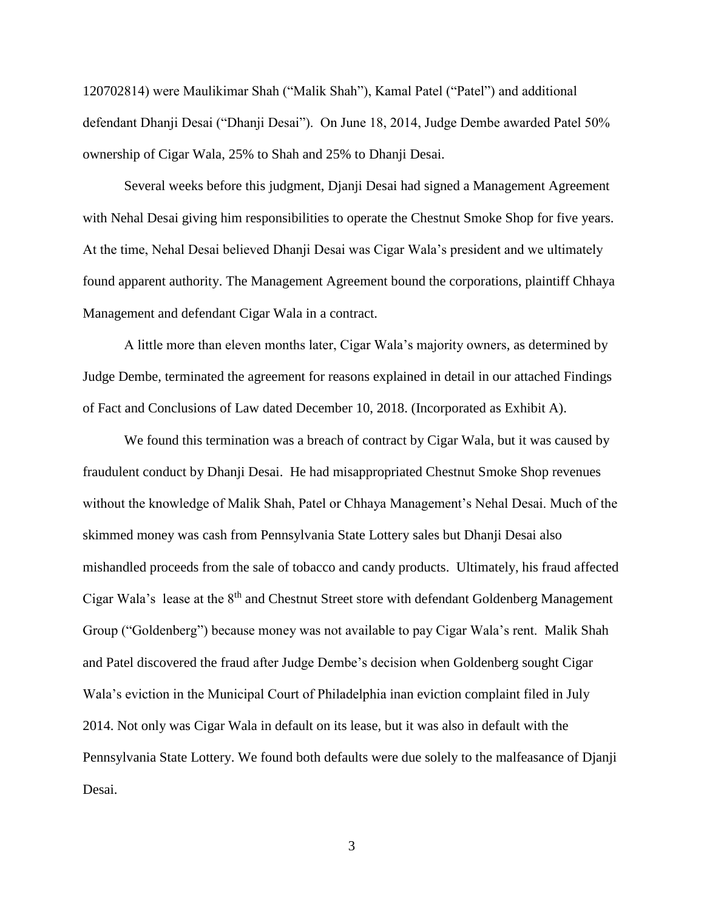120702814) were Maulikimar Shah ("Malik Shah"), Kamal Patel ("Patel") and additional defendant Dhanji Desai ("Dhanji Desai"). On June 18, 2014, Judge Dembe awarded Patel 50% ownership of Cigar Wala, 25% to Shah and 25% to Dhanji Desai.

Several weeks before this judgment, Djanji Desai had signed a Management Agreement with Nehal Desai giving him responsibilities to operate the Chestnut Smoke Shop for five years. At the time, Nehal Desai believed Dhanji Desai was Cigar Wala's president and we ultimately found apparent authority. The Management Agreement bound the corporations, plaintiff Chhaya Management and defendant Cigar Wala in a contract.

A little more than eleven months later, Cigar Wala's majority owners, as determined by Judge Dembe, terminated the agreement for reasons explained in detail in our attached Findings of Fact and Conclusions of Law dated December 10, 2018. (Incorporated as Exhibit A).

We found this termination was a breach of contract by Cigar Wala, but it was caused by fraudulent conduct by Dhanji Desai. He had misappropriated Chestnut Smoke Shop revenues without the knowledge of Malik Shah, Patel or Chhaya Management's Nehal Desai. Much of the skimmed money was cash from Pennsylvania State Lottery sales but Dhanji Desai also mishandled proceeds from the sale of tobacco and candy products. Ultimately, his fraud affected Cigar Wala's lease at the 8<sup>th</sup> and Chestnut Street store with defendant Goldenberg Management Group ("Goldenberg") because money was not available to pay Cigar Wala's rent. Malik Shah and Patel discovered the fraud after Judge Dembe's decision when Goldenberg sought Cigar Wala's eviction in the Municipal Court of Philadelphia inan eviction complaint filed in July 2014. Not only was Cigar Wala in default on its lease, but it was also in default with the Pennsylvania State Lottery. We found both defaults were due solely to the malfeasance of Djanji Desai.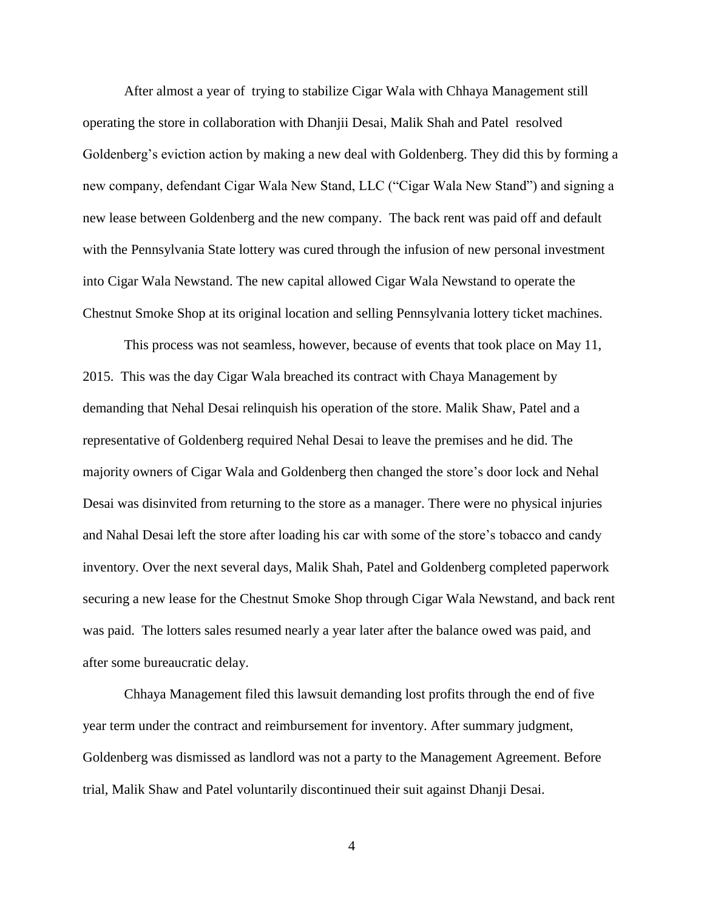After almost a year of trying to stabilize Cigar Wala with Chhaya Management still operating the store in collaboration with Dhanjii Desai, Malik Shah and Patel resolved Goldenberg's eviction action by making a new deal with Goldenberg. They did this by forming a new company, defendant Cigar Wala New Stand, LLC ("Cigar Wala New Stand") and signing a new lease between Goldenberg and the new company. The back rent was paid off and default with the Pennsylvania State lottery was cured through the infusion of new personal investment into Cigar Wala Newstand. The new capital allowed Cigar Wala Newstand to operate the Chestnut Smoke Shop at its original location and selling Pennsylvania lottery ticket machines.

This process was not seamless, however, because of events that took place on May 11, 2015. This was the day Cigar Wala breached its contract with Chaya Management by demanding that Nehal Desai relinquish his operation of the store. Malik Shaw, Patel and a representative of Goldenberg required Nehal Desai to leave the premises and he did. The majority owners of Cigar Wala and Goldenberg then changed the store's door lock and Nehal Desai was disinvited from returning to the store as a manager. There were no physical injuries and Nahal Desai left the store after loading his car with some of the store's tobacco and candy inventory. Over the next several days, Malik Shah, Patel and Goldenberg completed paperwork securing a new lease for the Chestnut Smoke Shop through Cigar Wala Newstand, and back rent was paid. The lotters sales resumed nearly a year later after the balance owed was paid, and after some bureaucratic delay.

Chhaya Management filed this lawsuit demanding lost profits through the end of five year term under the contract and reimbursement for inventory. After summary judgment, Goldenberg was dismissed as landlord was not a party to the Management Agreement. Before trial, Malik Shaw and Patel voluntarily discontinued their suit against Dhanji Desai.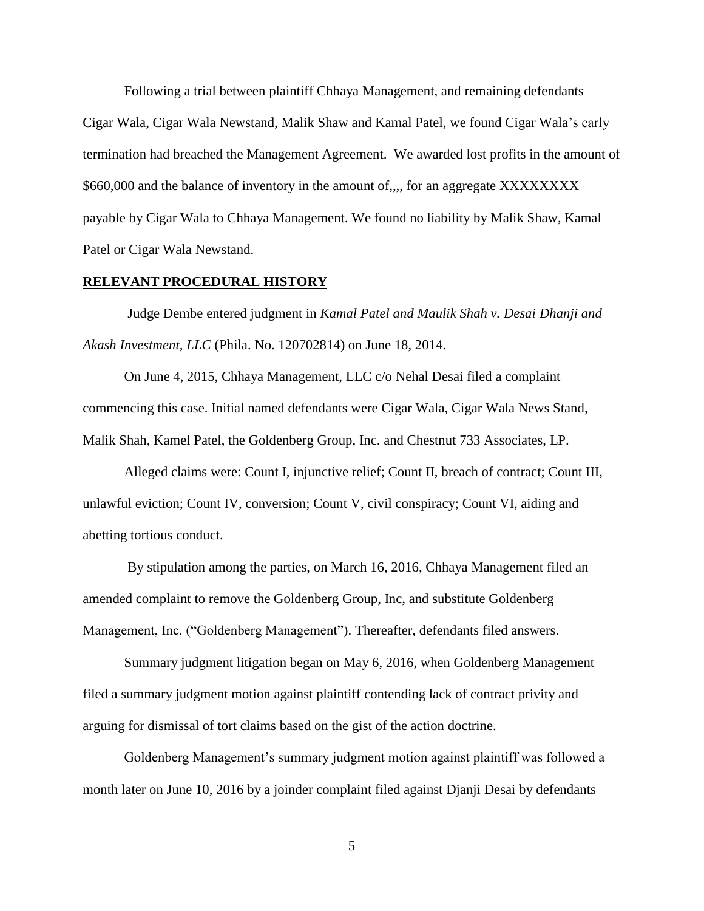Following a trial between plaintiff Chhaya Management, and remaining defendants Cigar Wala, Cigar Wala Newstand, Malik Shaw and Kamal Patel, we found Cigar Wala's early termination had breached the Management Agreement. We awarded lost profits in the amount of \$660,000 and the balance of inventory in the amount of,,,, for an aggregate XXXXXXXX payable by Cigar Wala to Chhaya Management. We found no liability by Malik Shaw, Kamal Patel or Cigar Wala Newstand.

#### **RELEVANT PROCEDURAL HISTORY**

Judge Dembe entered judgment in *Kamal Patel and Maulik Shah v. Desai Dhanji and Akash Investment, LLC* (Phila. No. 120702814) on June 18, 2014.

On June 4, 2015, Chhaya Management, LLC c/o Nehal Desai filed a complaint commencing this case. Initial named defendants were Cigar Wala, Cigar Wala News Stand, Malik Shah, Kamel Patel, the Goldenberg Group, Inc. and Chestnut 733 Associates, LP.

Alleged claims were: Count I, injunctive relief; Count II, breach of contract; Count III, unlawful eviction; Count IV, conversion; Count V, civil conspiracy; Count VI, aiding and abetting tortious conduct.

By stipulation among the parties, on March 16, 2016, Chhaya Management filed an amended complaint to remove the Goldenberg Group, Inc, and substitute Goldenberg Management, Inc. ("Goldenberg Management"). Thereafter, defendants filed answers.

Summary judgment litigation began on May 6, 2016, when Goldenberg Management filed a summary judgment motion against plaintiff contending lack of contract privity and arguing for dismissal of tort claims based on the gist of the action doctrine.

Goldenberg Management's summary judgment motion against plaintiff was followed a month later on June 10, 2016 by a joinder complaint filed against Djanji Desai by defendants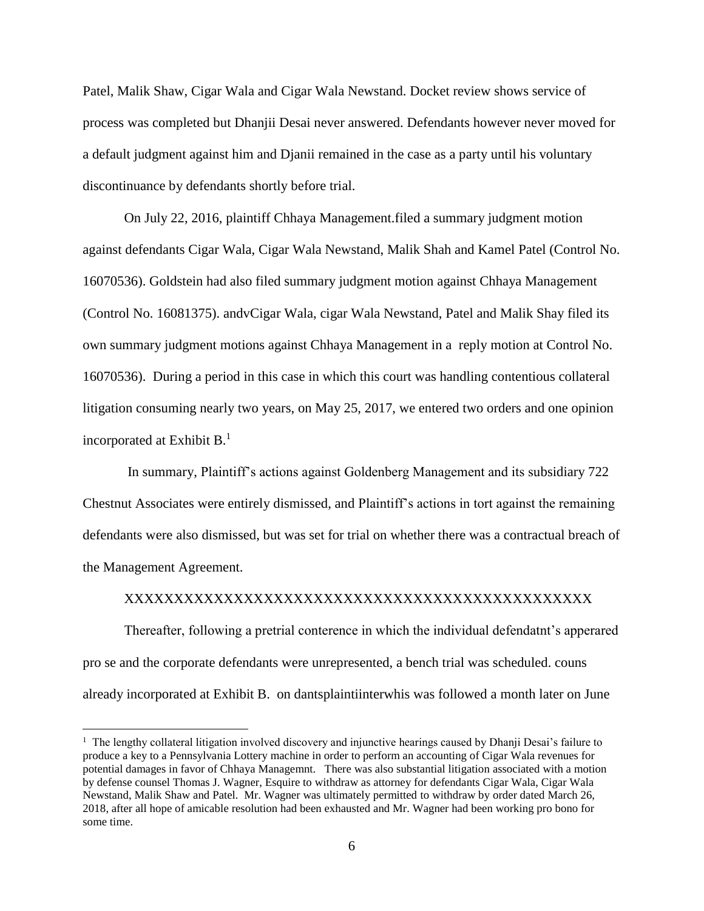Patel, Malik Shaw, Cigar Wala and Cigar Wala Newstand. Docket review shows service of process was completed but Dhanjii Desai never answered. Defendants however never moved for a default judgment against him and Djanii remained in the case as a party until his voluntary discontinuance by defendants shortly before trial.

On July 22, 2016, plaintiff Chhaya Management.filed a summary judgment motion against defendants Cigar Wala, Cigar Wala Newstand, Malik Shah and Kamel Patel (Control No. 16070536). Goldstein had also filed summary judgment motion against Chhaya Management (Control No. 16081375). andvCigar Wala, cigar Wala Newstand, Patel and Malik Shay filed its own summary judgment motions against Chhaya Management in a reply motion at Control No. 16070536). During a period in this case in which this court was handling contentious collateral litigation consuming nearly two years, on May 25, 2017, we entered two orders and one opinion incorporated at Exhibit  $B<sup>1</sup>$ .

In summary, Plaintiff's actions against Goldenberg Management and its subsidiary 722 Chestnut Associates were entirely dismissed, and Plaintiff's actions in tort against the remaining defendants were also dismissed, but was set for trial on whether there was a contractual breach of the Management Agreement.

### XXXXXXXXXXXXXXXXXXXXXXXXXXXXXXXXXXXXXXXXXXXXXXX

Thereafter, following a pretrial conterence in which the individual defendatnt's apperared pro se and the corporate defendants were unrepresented, a bench trial was scheduled. couns already incorporated at Exhibit B. on dantsplaintiinterwhis was followed a month later on June

<sup>&</sup>lt;sup>1</sup> The lengthy collateral litigation involved discovery and injunctive hearings caused by Dhanji Desai's failure to produce a key to a Pennsylvania Lottery machine in order to perform an accounting of Cigar Wala revenues for potential damages in favor of Chhaya Managemnt. There was also substantial litigation associated with a motion by defense counsel Thomas J. Wagner, Esquire to withdraw as attorney for defendants Cigar Wala, Cigar Wala Newstand, Malik Shaw and Patel. Mr. Wagner was ultimately permitted to withdraw by order dated March 26, 2018, after all hope of amicable resolution had been exhausted and Mr. Wagner had been working pro bono for some time.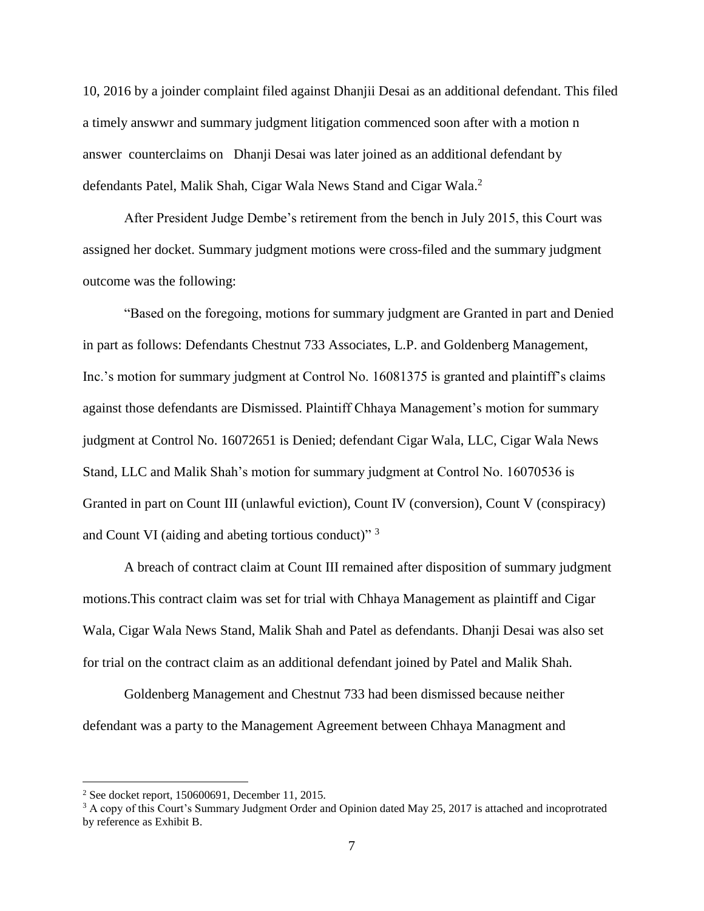10, 2016 by a joinder complaint filed against Dhanjii Desai as an additional defendant. This filed a timely answwr and summary judgment litigation commenced soon after with a motion n answer counterclaims on Dhanji Desai was later joined as an additional defendant by defendants Patel, Malik Shah, Cigar Wala News Stand and Cigar Wala.<sup>2</sup>

After President Judge Dembe's retirement from the bench in July 2015, this Court was assigned her docket. Summary judgment motions were cross-filed and the summary judgment outcome was the following:

"Based on the foregoing, motions for summary judgment are Granted in part and Denied in part as follows: Defendants Chestnut 733 Associates, L.P. and Goldenberg Management, Inc.'s motion for summary judgment at Control No. 16081375 is granted and plaintiff's claims against those defendants are Dismissed. Plaintiff Chhaya Management's motion for summary judgment at Control No. 16072651 is Denied; defendant Cigar Wala, LLC, Cigar Wala News Stand, LLC and Malik Shah's motion for summary judgment at Control No. 16070536 is Granted in part on Count III (unlawful eviction), Count IV (conversion), Count V (conspiracy) and Count VI (aiding and abeting tortious conduct)" 3

A breach of contract claim at Count III remained after disposition of summary judgment motions.This contract claim was set for trial with Chhaya Management as plaintiff and Cigar Wala, Cigar Wala News Stand, Malik Shah and Patel as defendants. Dhanji Desai was also set for trial on the contract claim as an additional defendant joined by Patel and Malik Shah.

Goldenberg Management and Chestnut 733 had been dismissed because neither defendant was a party to the Management Agreement between Chhaya Managment and

<sup>2</sup> See docket report, 150600691, December 11, 2015.

<sup>&</sup>lt;sup>3</sup> A copy of this Court's Summary Judgment Order and Opinion dated May 25, 2017 is attached and incoprotrated by reference as Exhibit B.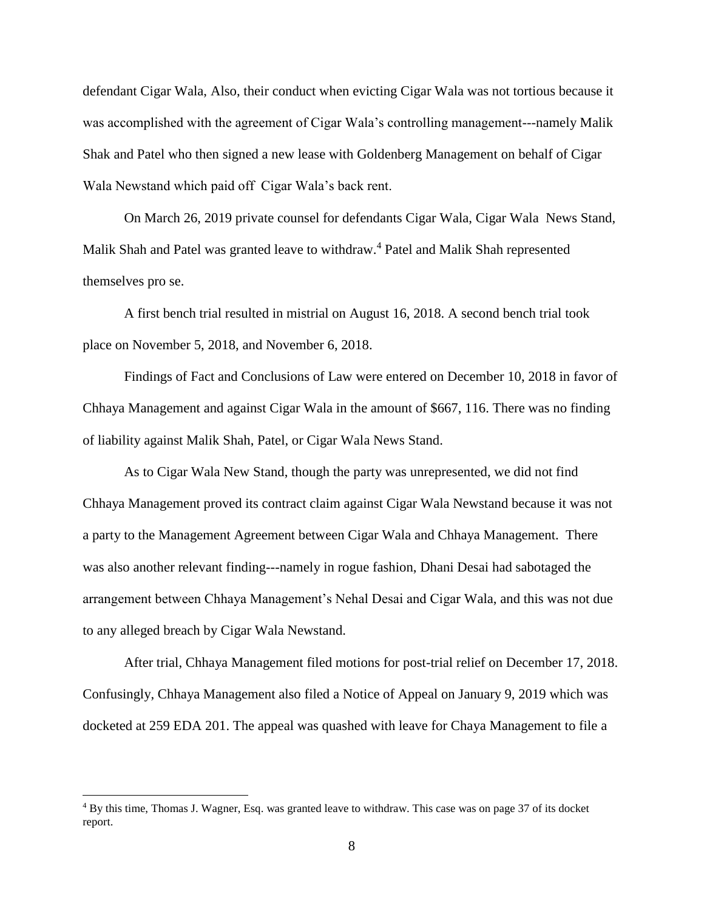defendant Cigar Wala, Also, their conduct when evicting Cigar Wala was not tortious because it was accomplished with the agreement of Cigar Wala's controlling management---namely Malik Shak and Patel who then signed a new lease with Goldenberg Management on behalf of Cigar Wala Newstand which paid off Cigar Wala's back rent.

On March 26, 2019 private counsel for defendants Cigar Wala, Cigar Wala News Stand, Malik Shah and Patel was granted leave to withdraw.<sup>4</sup> Patel and Malik Shah represented themselves pro se.

A first bench trial resulted in mistrial on August 16, 2018. A second bench trial took place on November 5, 2018, and November 6, 2018.

Findings of Fact and Conclusions of Law were entered on December 10, 2018 in favor of Chhaya Management and against Cigar Wala in the amount of \$667, 116. There was no finding of liability against Malik Shah, Patel, or Cigar Wala News Stand.

As to Cigar Wala New Stand, though the party was unrepresented, we did not find Chhaya Management proved its contract claim against Cigar Wala Newstand because it was not a party to the Management Agreement between Cigar Wala and Chhaya Management. There was also another relevant finding---namely in rogue fashion, Dhani Desai had sabotaged the arrangement between Chhaya Management's Nehal Desai and Cigar Wala, and this was not due to any alleged breach by Cigar Wala Newstand.

After trial, Chhaya Management filed motions for post-trial relief on December 17, 2018. Confusingly, Chhaya Management also filed a Notice of Appeal on January 9, 2019 which was docketed at 259 EDA 201. The appeal was quashed with leave for Chaya Management to file a

<sup>4</sup> By this time, Thomas J. Wagner, Esq. was granted leave to withdraw. This case was on page 37 of its docket report.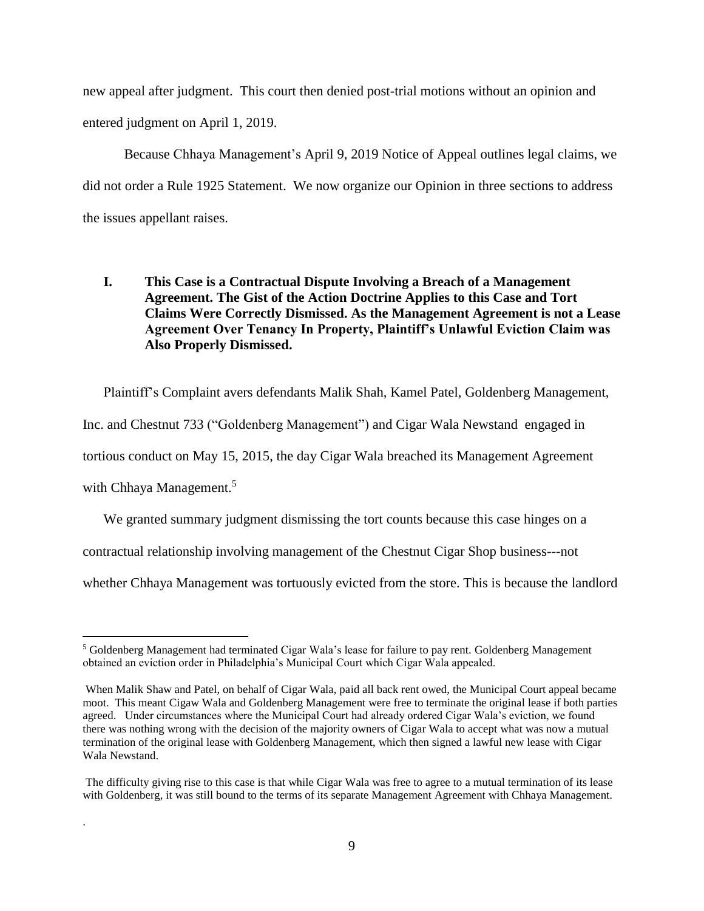new appeal after judgment. This court then denied post-trial motions without an opinion and entered judgment on April 1, 2019.

Because Chhaya Management's April 9, 2019 Notice of Appeal outlines legal claims, we did not order a Rule 1925 Statement. We now organize our Opinion in three sections to address the issues appellant raises.

# **I. This Case is a Contractual Dispute Involving a Breach of a Management Agreement. The Gist of the Action Doctrine Applies to this Case and Tort Claims Were Correctly Dismissed. As the Management Agreement is not a Lease Agreement Over Tenancy In Property, Plaintiff's Unlawful Eviction Claim was Also Properly Dismissed.**

Plaintiff's Complaint avers defendants Malik Shah, Kamel Patel, Goldenberg Management, Inc. and Chestnut 733 ("Goldenberg Management") and Cigar Wala Newstand engaged in tortious conduct on May 15, 2015, the day Cigar Wala breached its Management Agreement with Chhaya Management.<sup>5</sup>

We granted summary judgment dismissing the tort counts because this case hinges on a

contractual relationship involving management of the Chestnut Cigar Shop business---not

whether Chhaya Management was tortuously evicted from the store. This is because the landlord

 $\overline{a}$ 

.

<sup>5</sup> Goldenberg Management had terminated Cigar Wala's lease for failure to pay rent. Goldenberg Management obtained an eviction order in Philadelphia's Municipal Court which Cigar Wala appealed.

When Malik Shaw and Patel, on behalf of Cigar Wala, paid all back rent owed, the Municipal Court appeal became moot. This meant Cigaw Wala and Goldenberg Management were free to terminate the original lease if both parties agreed. Under circumstances where the Municipal Court had already ordered Cigar Wala's eviction, we found there was nothing wrong with the decision of the majority owners of Cigar Wala to accept what was now a mutual termination of the original lease with Goldenberg Management, which then signed a lawful new lease with Cigar Wala Newstand.

The difficulty giving rise to this case is that while Cigar Wala was free to agree to a mutual termination of its lease with Goldenberg, it was still bound to the terms of its separate Management Agreement with Chhaya Management.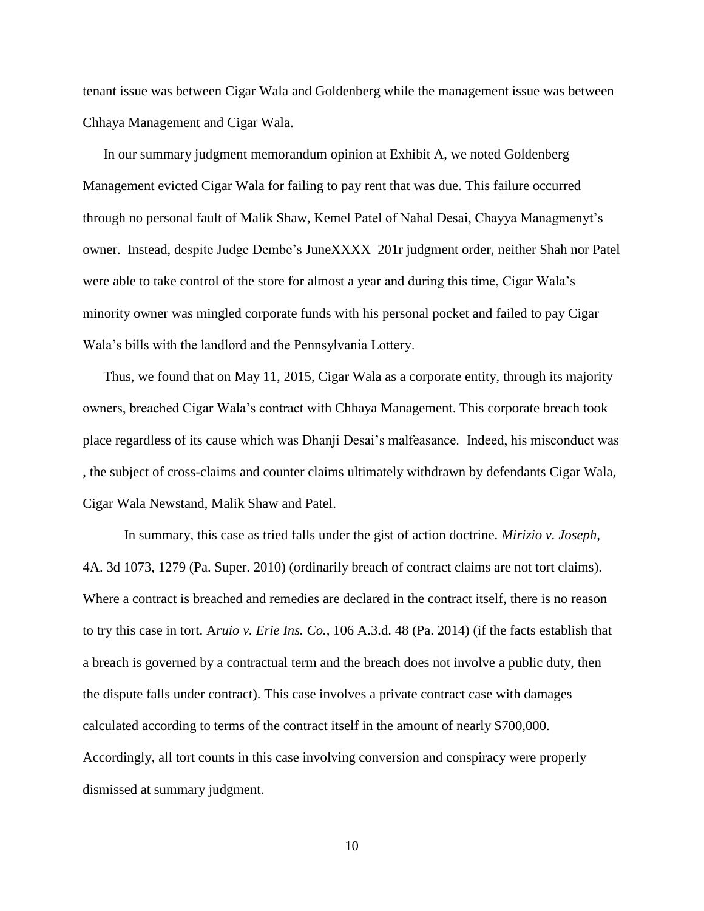tenant issue was between Cigar Wala and Goldenberg while the management issue was between Chhaya Management and Cigar Wala.

In our summary judgment memorandum opinion at Exhibit A, we noted Goldenberg Management evicted Cigar Wala for failing to pay rent that was due. This failure occurred through no personal fault of Malik Shaw, Kemel Patel of Nahal Desai, Chayya Managmenyt's owner. Instead, despite Judge Dembe's JuneXXXX 201r judgment order, neither Shah nor Patel were able to take control of the store for almost a year and during this time, Cigar Wala's minority owner was mingled corporate funds with his personal pocket and failed to pay Cigar Wala's bills with the landlord and the Pennsylvania Lottery.

Thus, we found that on May 11, 2015, Cigar Wala as a corporate entity, through its majority owners, breached Cigar Wala's contract with Chhaya Management. This corporate breach took place regardless of its cause which was Dhanji Desai's malfeasance. Indeed, his misconduct was , the subject of cross-claims and counter claims ultimately withdrawn by defendants Cigar Wala, Cigar Wala Newstand, Malik Shaw and Patel.

In summary, this case as tried falls under the gist of action doctrine. *Mirizio v. Joseph,* 4A. 3d 1073, 1279 (Pa. Super. 2010) (ordinarily breach of contract claims are not tort claims). Where a contract is breached and remedies are declared in the contract itself, there is no reason to try this case in tort. A*ruio v. Erie Ins. Co.,* 106 A.3.d. 48 (Pa. 2014) (if the facts establish that a breach is governed by a contractual term and the breach does not involve a public duty, then the dispute falls under contract). This case involves a private contract case with damages calculated according to terms of the contract itself in the amount of nearly \$700,000. Accordingly, all tort counts in this case involving conversion and conspiracy were properly dismissed at summary judgment.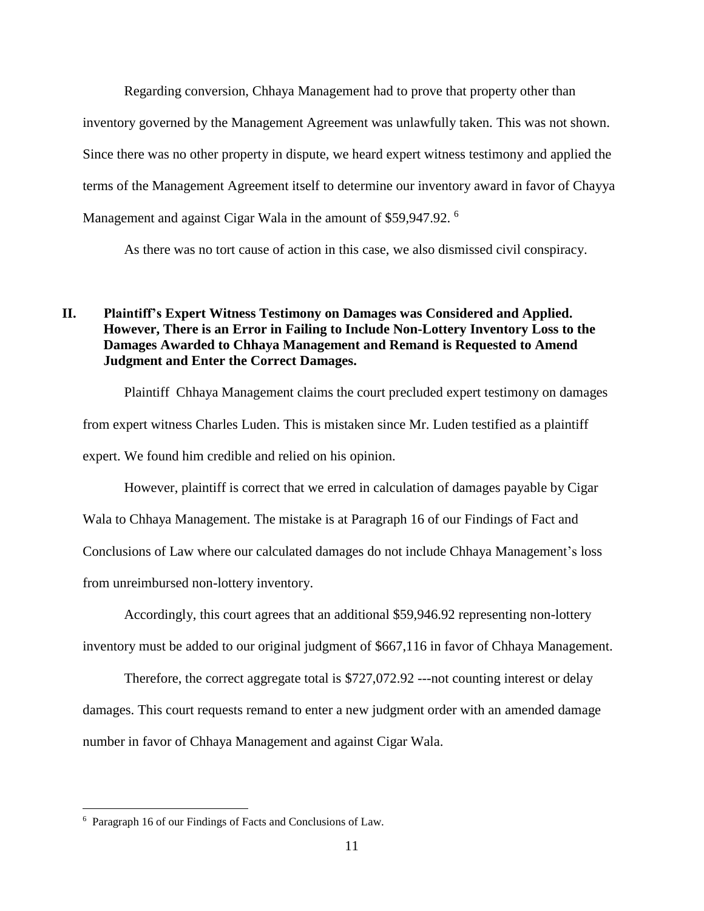Regarding conversion, Chhaya Management had to prove that property other than inventory governed by the Management Agreement was unlawfully taken. This was not shown. Since there was no other property in dispute, we heard expert witness testimony and applied the terms of the Management Agreement itself to determine our inventory award in favor of Chayya Management and against Cigar Wala in the amount of \$59,947.92.<sup>6</sup>

As there was no tort cause of action in this case, we also dismissed civil conspiracy.

# **II. Plaintiff's Expert Witness Testimony on Damages was Considered and Applied. However, There is an Error in Failing to Include Non-Lottery Inventory Loss to the Damages Awarded to Chhaya Management and Remand is Requested to Amend Judgment and Enter the Correct Damages.**

Plaintiff Chhaya Management claims the court precluded expert testimony on damages from expert witness Charles Luden. This is mistaken since Mr. Luden testified as a plaintiff expert. We found him credible and relied on his opinion.

However, plaintiff is correct that we erred in calculation of damages payable by Cigar Wala to Chhaya Management. The mistake is at Paragraph 16 of our Findings of Fact and Conclusions of Law where our calculated damages do not include Chhaya Management's loss from unreimbursed non-lottery inventory.

Accordingly, this court agrees that an additional \$59,946.92 representing non-lottery inventory must be added to our original judgment of \$667,116 in favor of Chhaya Management.

Therefore, the correct aggregate total is \$727,072.92 ---not counting interest or delay damages. This court requests remand to enter a new judgment order with an amended damage number in favor of Chhaya Management and against Cigar Wala.

<sup>6</sup> Paragraph 16 of our Findings of Facts and Conclusions of Law.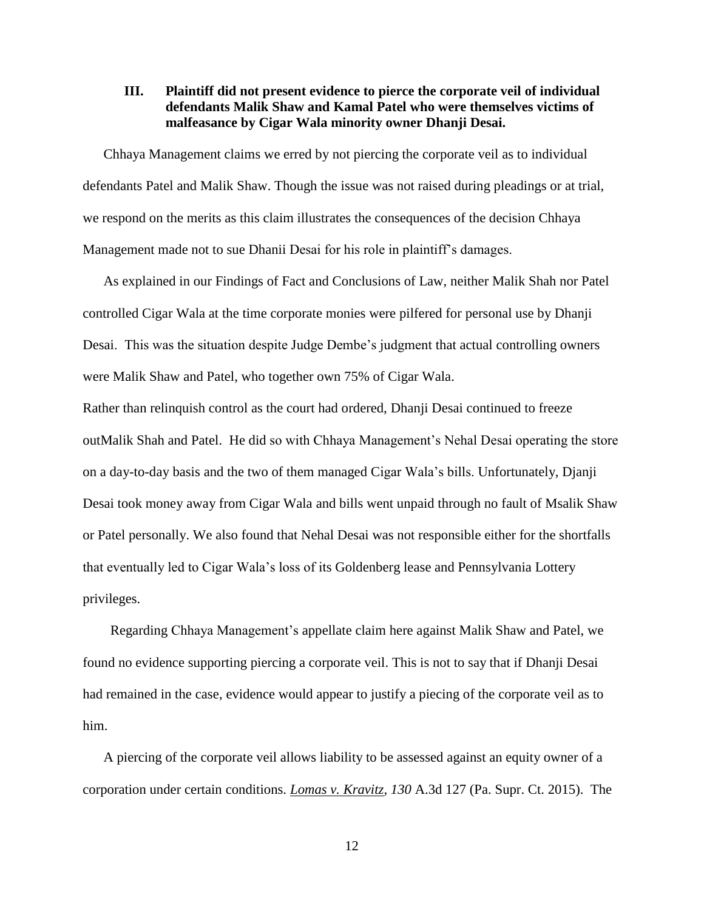# **III. Plaintiff did not present evidence to pierce the corporate veil of individual defendants Malik Shaw and Kamal Patel who were themselves victims of malfeasance by Cigar Wala minority owner Dhanji Desai.**

Chhaya Management claims we erred by not piercing the corporate veil as to individual defendants Patel and Malik Shaw. Though the issue was not raised during pleadings or at trial, we respond on the merits as this claim illustrates the consequences of the decision Chhaya Management made not to sue Dhanii Desai for his role in plaintiff's damages.

As explained in our Findings of Fact and Conclusions of Law, neither Malik Shah nor Patel controlled Cigar Wala at the time corporate monies were pilfered for personal use by Dhanji Desai. This was the situation despite Judge Dembe's judgment that actual controlling owners were Malik Shaw and Patel, who together own 75% of Cigar Wala.

Rather than relinquish control as the court had ordered, Dhanji Desai continued to freeze outMalik Shah and Patel. He did so with Chhaya Management's Nehal Desai operating the store on a day-to-day basis and the two of them managed Cigar Wala's bills. Unfortunately, Djanji Desai took money away from Cigar Wala and bills went unpaid through no fault of Msalik Shaw or Patel personally. We also found that Nehal Desai was not responsible either for the shortfalls that eventually led to Cigar Wala's loss of its Goldenberg lease and Pennsylvania Lottery privileges.

Regarding Chhaya Management's appellate claim here against Malik Shaw and Patel, we found no evidence supporting piercing a corporate veil. This is not to say that if Dhanji Desai had remained in the case, evidence would appear to justify a piecing of the corporate veil as to him.

A piercing of the corporate veil allows liability to be assessed against an equity owner of a corporation under certain conditions. *Lomas v. Kravitz, 130* A.3d 127 (Pa. Supr. Ct. 2015). The